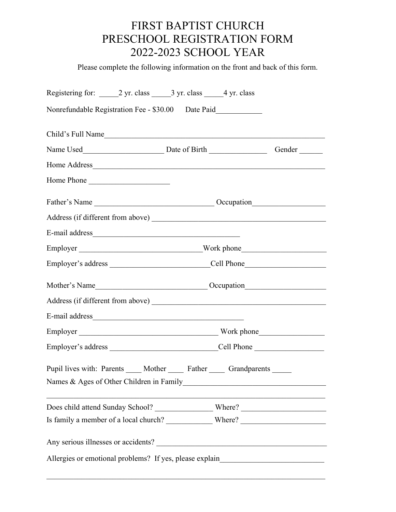## FIRST BAPTIST CHURCH PRESCHOOL REGISTRATION FORM 2022-2023 SCHOOL YEAR

Please complete the following information on the front and back of this form.

| Registering for: 2 yr. class 3 yr. class 4 yr. class                          |                                                                                  |
|-------------------------------------------------------------------------------|----------------------------------------------------------------------------------|
| Nonrefundable Registration Fee - \$30.00 Date Paid____________                |                                                                                  |
|                                                                               |                                                                                  |
|                                                                               |                                                                                  |
|                                                                               |                                                                                  |
| Home Phone                                                                    |                                                                                  |
|                                                                               |                                                                                  |
|                                                                               |                                                                                  |
|                                                                               |                                                                                  |
|                                                                               |                                                                                  |
|                                                                               |                                                                                  |
|                                                                               |                                                                                  |
|                                                                               |                                                                                  |
|                                                                               |                                                                                  |
|                                                                               |                                                                                  |
|                                                                               |                                                                                  |
| Pupil lives with: Parents _____ Mother ______ Father _____ Grandparents _____ |                                                                                  |
|                                                                               |                                                                                  |
|                                                                               |                                                                                  |
|                                                                               | Any serious illnesses or accidents?                                              |
|                                                                               | Allergies or emotional problems? If yes, please explain_________________________ |